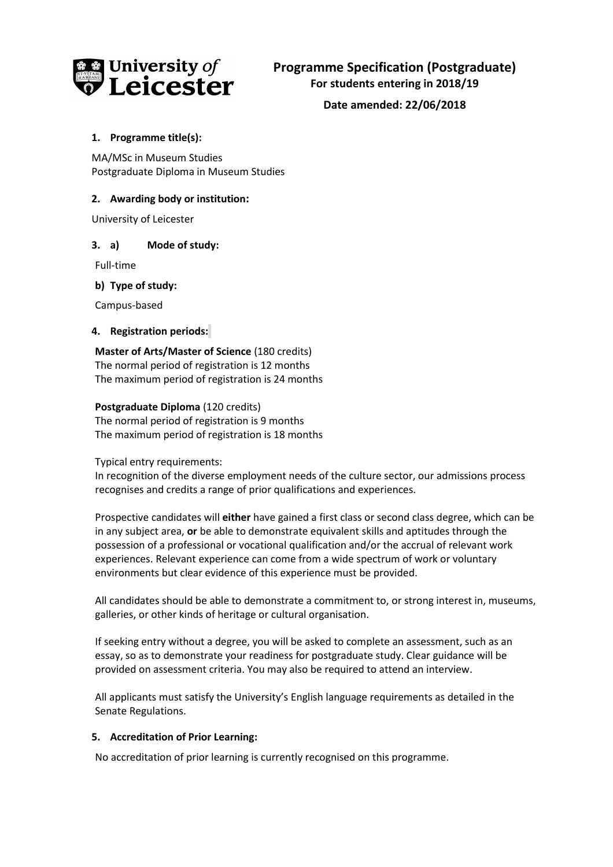

**Date amended: 22/06/2018**

# **1. Programme title(s):**

MA/MSc in Museum Studies Postgraduate Diploma in Museum Studies

## **2. Awarding body or institution:**

University of Leicester

### **3. a) Mode of study:**

Full-time

### **b) Type of study:**

Campus-based

### **4. Registration periods:**

**Master of Arts/Master of Science** (180 credits) The normal period of registration is 12 months The maximum period of registration is 24 months

### **Postgraduate Diploma** (120 credits)

The normal period of registration is 9 months The maximum period of registration is 18 months

Typical entry requirements:

In recognition of the diverse employment needs of the culture sector, our admissions process recognises and credits a range of prior qualifications and experiences.

Prospective candidates will **either** have gained a first class or second class degree, which can be in any subject area, **or** be able to demonstrate equivalent skills and aptitudes through the possession of a professional or vocational qualification and/or the accrual of relevant work experiences. Relevant experience can come from a wide spectrum of work or voluntary environments but clear evidence of this experience must be provided.

All candidates should be able to demonstrate a commitment to, or strong interest in, museums, galleries, or other kinds of heritage or cultural organisation.

If seeking entry without a degree, you will be asked to complete an assessment, such as an essay, so as to demonstrate your readiness for postgraduate study. Clear guidance will be provided on assessment criteria. You may also be required to attend an interview.

All applicants must satisfy the University's English language requirements as detailed in the Senate Regulations.

# **5. Accreditation of Prior Learning:**

No accreditation of prior learning is currently recognised on this programme.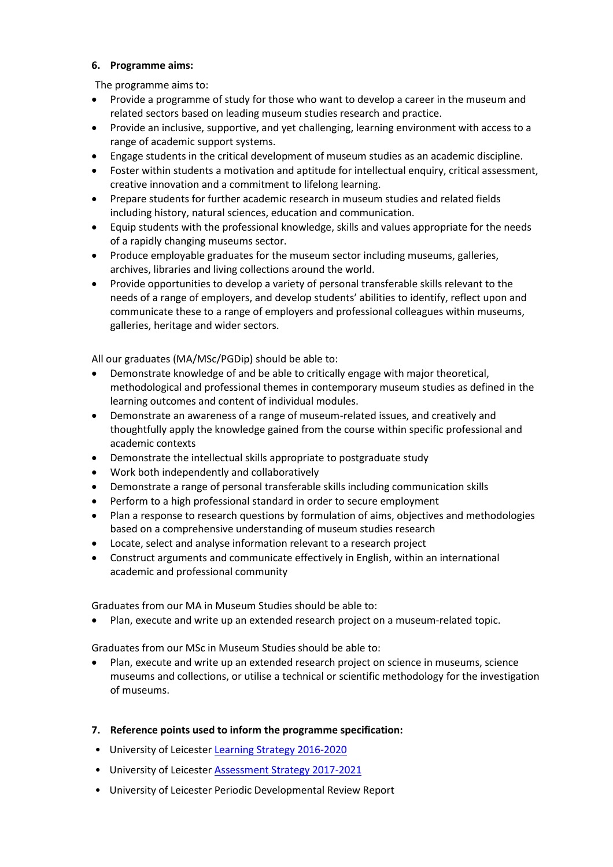### **6. Programme aims:**

The programme aims to:

- Provide a programme of study for those who want to develop a career in the museum and related sectors based on leading museum studies research and practice.
- Provide an inclusive, supportive, and yet challenging, learning environment with access to a range of academic support systems.
- Engage students in the critical development of museum studies as an academic discipline.
- Foster within students a motivation and aptitude for intellectual enquiry, critical assessment, creative innovation and a commitment to lifelong learning.
- Prepare students for further academic research in museum studies and related fields including history, natural sciences, education and communication.
- Equip students with the professional knowledge, skills and values appropriate for the needs of a rapidly changing museums sector.
- Produce employable graduates for the museum sector including museums, galleries, archives, libraries and living collections around the world.
- Provide opportunities to develop a variety of personal transferable skills relevant to the needs of a range of employers, and develop students' abilities to identify, reflect upon and communicate these to a range of employers and professional colleagues within museums, galleries, heritage and wider sectors.

All our graduates (MA/MSc/PGDip) should be able to:

- Demonstrate knowledge of and be able to critically engage with major theoretical, methodological and professional themes in contemporary museum studies as defined in the learning outcomes and content of individual modules.
- Demonstrate an awareness of a range of museum-related issues, and creatively and thoughtfully apply the knowledge gained from the course within specific professional and academic contexts
- Demonstrate the intellectual skills appropriate to postgraduate study
- Work both independently and collaboratively
- Demonstrate a range of personal transferable skills including communication skills
- Perform to a high professional standard in order to secure employment
- Plan a response to research questions by formulation of aims, objectives and methodologies based on a comprehensive understanding of museum studies research
- Locate, select and analyse information relevant to a research project
- Construct arguments and communicate effectively in English, within an international academic and professional community

Graduates from our MA in Museum Studies should be able to:

Plan, execute and write up an extended research project on a museum-related topic.

Graduates from our MSc in Museum Studies should be able to:

- Plan, execute and write up an extended research project on science in museums, science museums and collections, or utilise a technical or scientific methodology for the investigation of museums.
- **7. Reference points used to inform the programme specification:**
- University of Leicester [Learning Strategy 2016-2020](https://www2.le.ac.uk/offices/sas2/quality/documents/learning-strategy-2016-2020)
- University of Leicester **Assessment Strategy 2017-2021**
- University of Leicester Periodic Developmental Review Report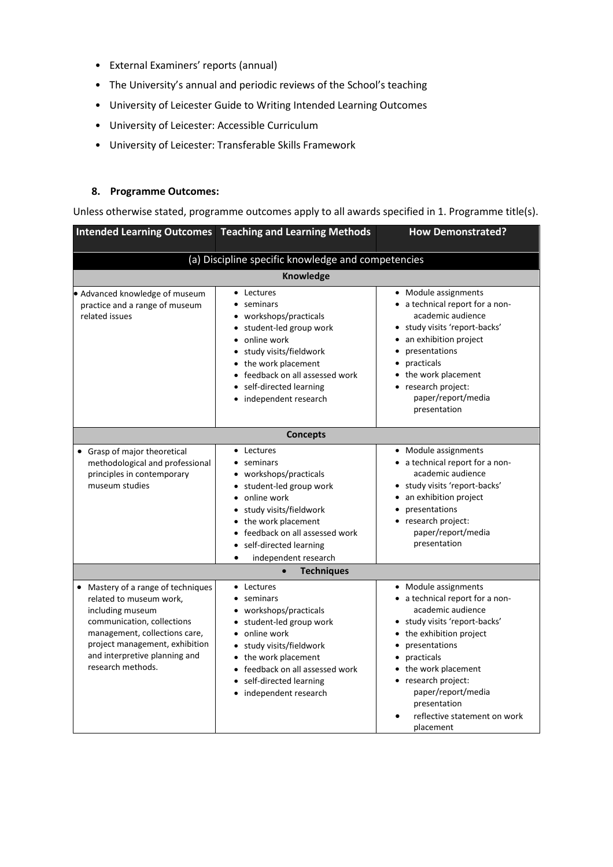- External Examiners' reports (annual)
- The University's annual and periodic reviews of the School's teaching
- University of Leicester Guide to Writing Intended Learning Outcomes
- University of Leicester: Accessible Curriculum
- University of Leicester: Transferable Skills Framework

### **8. Programme Outcomes:**

Unless otherwise stated, programme outcomes apply to all awards specified in 1. Programme title(s).

|                                                                                                                                                                                                                                          | <b>Intended Learning Outcomes Teaching and Learning Methods</b>                                                                                                                                                                                      | <b>How Demonstrated?</b>                                                                                                                                                                                                                                                                                              |  |  |  |
|------------------------------------------------------------------------------------------------------------------------------------------------------------------------------------------------------------------------------------------|------------------------------------------------------------------------------------------------------------------------------------------------------------------------------------------------------------------------------------------------------|-----------------------------------------------------------------------------------------------------------------------------------------------------------------------------------------------------------------------------------------------------------------------------------------------------------------------|--|--|--|
| (a) Discipline specific knowledge and competencies                                                                                                                                                                                       |                                                                                                                                                                                                                                                      |                                                                                                                                                                                                                                                                                                                       |  |  |  |
| Knowledge                                                                                                                                                                                                                                |                                                                                                                                                                                                                                                      |                                                                                                                                                                                                                                                                                                                       |  |  |  |
| · Advanced knowledge of museum<br>practice and a range of museum<br>related issues                                                                                                                                                       | • Lectures<br>• seminars<br>• workshops/practicals<br>• student-led group work<br>• online work<br>• study visits/fieldwork<br>• the work placement<br>• feedback on all assessed work<br>• self-directed learning<br>• independent research         | • Module assignments<br>• a technical report for a non-<br>academic audience<br>· study visits 'report-backs'<br>an exhibition project<br>presentations<br>practicals<br>• the work placement<br>• research project:<br>paper/report/media<br>presentation                                                            |  |  |  |
|                                                                                                                                                                                                                                          | <b>Concepts</b>                                                                                                                                                                                                                                      |                                                                                                                                                                                                                                                                                                                       |  |  |  |
| • Grasp of major theoretical<br>methodological and professional<br>principles in contemporary<br>museum studies                                                                                                                          | • Lectures<br>• seminars<br>• workshops/practicals<br>• student-led group work<br>• online work<br>· study visits/fieldwork<br>• the work placement<br>• feedback on all assessed work<br>self-directed learning<br>independent research             | • Module assignments<br>• a technical report for a non-<br>academic audience<br>• study visits 'report-backs'<br>• an exhibition project<br>presentations<br>• research project:<br>paper/report/media<br>presentation                                                                                                |  |  |  |
|                                                                                                                                                                                                                                          | <b>Techniques</b>                                                                                                                                                                                                                                    |                                                                                                                                                                                                                                                                                                                       |  |  |  |
| • Mastery of a range of techniques<br>related to museum work,<br>including museum<br>communication, collections<br>management, collections care,<br>project management, exhibition<br>and interpretive planning and<br>research methods. | • Lectures<br>$\bullet$ seminars<br>• workshops/practicals<br>• student-led group work<br>• online work<br>· study visits/fieldwork<br>• the work placement<br>• feedback on all assessed work<br>• self-directed learning<br>• independent research | • Module assignments<br>• a technical report for a non-<br>academic audience<br>· study visits 'report-backs'<br>• the exhibition project<br>presentations<br>$\bullet$<br>practicals<br>the work placement<br>• research project:<br>paper/report/media<br>presentation<br>reflective statement on work<br>placement |  |  |  |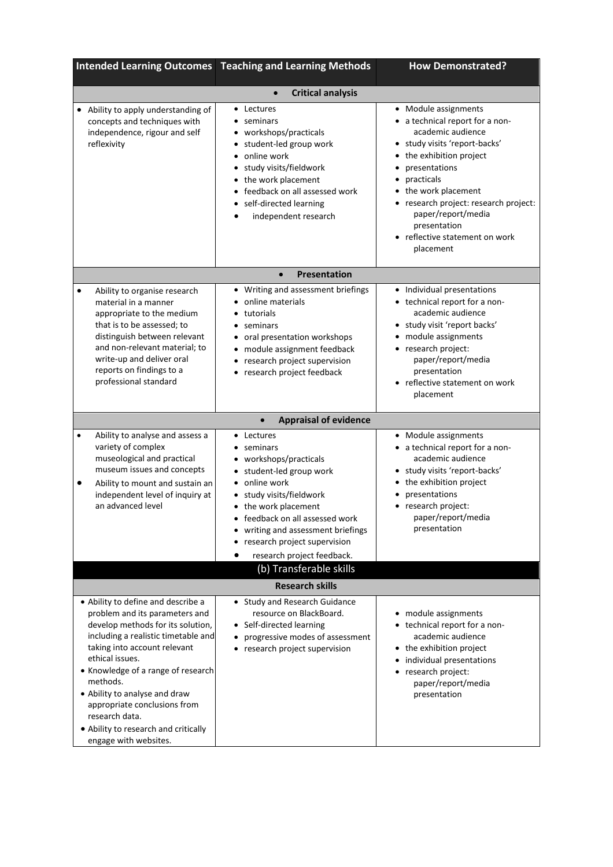|                                                                                                                                                                                                                                                                                                                                                                                                           | <b>Intended Learning Outcomes Teaching and Learning Methods</b>                                                                                                                                                                                                                      | <b>How Demonstrated?</b>                                                                                                                                                                                                                                                                                                |  |  |  |
|-----------------------------------------------------------------------------------------------------------------------------------------------------------------------------------------------------------------------------------------------------------------------------------------------------------------------------------------------------------------------------------------------------------|--------------------------------------------------------------------------------------------------------------------------------------------------------------------------------------------------------------------------------------------------------------------------------------|-------------------------------------------------------------------------------------------------------------------------------------------------------------------------------------------------------------------------------------------------------------------------------------------------------------------------|--|--|--|
| <b>Critical analysis</b><br>$\bullet$                                                                                                                                                                                                                                                                                                                                                                     |                                                                                                                                                                                                                                                                                      |                                                                                                                                                                                                                                                                                                                         |  |  |  |
| • Ability to apply understanding of<br>concepts and techniques with<br>independence, rigour and self<br>reflexivity                                                                                                                                                                                                                                                                                       | • Lectures<br>seminars<br>$\bullet$<br>• workshops/practicals<br>• student-led group work<br>online work<br>$\bullet$<br>study visits/fieldwork<br>the work placement<br>feedback on all assessed work<br>self-directed learning<br>independent research                             | • Module assignments<br>a technical report for a non-<br>academic audience<br>study visits 'report-backs'<br>the exhibition project<br>٠<br>presentations<br>practicals<br>the work placement<br>research project: research project:<br>paper/report/media<br>presentation<br>reflective statement on work<br>placement |  |  |  |
|                                                                                                                                                                                                                                                                                                                                                                                                           | <b>Presentation</b><br>$\bullet$                                                                                                                                                                                                                                                     |                                                                                                                                                                                                                                                                                                                         |  |  |  |
| Ability to organise research<br>٠<br>material in a manner<br>appropriate to the medium<br>that is to be assessed; to<br>distinguish between relevant<br>and non-relevant material; to<br>write-up and deliver oral<br>reports on findings to a<br>professional standard                                                                                                                                   | • Writing and assessment briefings<br>online materials<br>tutorials<br>seminars<br>٠<br>• oral presentation workshops<br>• module assignment feedback<br>research project supervision<br>٠<br>research project feedback<br>٠                                                         | Individual presentations<br>$\bullet$<br>• technical report for a non-<br>academic audience<br>study visit 'report backs'<br>module assignments<br>research project:<br>$\bullet$<br>paper/report/media<br>presentation<br>reflective statement on work<br>placement                                                    |  |  |  |
|                                                                                                                                                                                                                                                                                                                                                                                                           | <b>Appraisal of evidence</b><br>$\bullet$                                                                                                                                                                                                                                            |                                                                                                                                                                                                                                                                                                                         |  |  |  |
| Ability to analyse and assess a<br>$\bullet$<br>variety of complex<br>museological and practical<br>museum issues and concepts<br>Ability to mount and sustain an<br>٠<br>independent level of inquiry at<br>an advanced level                                                                                                                                                                            | • Lectures<br>• seminars<br>• workshops/practicals<br>• student-led group work<br>• online work<br>study visits/fieldwork<br>• the work placement<br>feedback on all assessed work<br>writing and assessment briefings<br>research project supervision<br>research project feedback. | • Module assignments<br>• a technical report for a non-<br>academic audience<br>study visits 'report-backs'<br>the exhibition project<br>presentations<br>research project:<br>paper/report/media<br>presentation                                                                                                       |  |  |  |
|                                                                                                                                                                                                                                                                                                                                                                                                           | (b) Transferable skills                                                                                                                                                                                                                                                              |                                                                                                                                                                                                                                                                                                                         |  |  |  |
|                                                                                                                                                                                                                                                                                                                                                                                                           | <b>Research skills</b>                                                                                                                                                                                                                                                               |                                                                                                                                                                                                                                                                                                                         |  |  |  |
| • Ability to define and describe a<br>problem and its parameters and<br>develop methods for its solution,<br>including a realistic timetable and<br>taking into account relevant<br>ethical issues.<br>• Knowledge of a range of research<br>methods.<br>• Ability to analyse and draw<br>appropriate conclusions from<br>research data.<br>• Ability to research and critically<br>engage with websites. | • Study and Research Guidance<br>resource on BlackBoard.<br>• Self-directed learning<br>progressive modes of assessment<br>research project supervision<br>$\bullet$                                                                                                                 | module assignments<br>technical report for a non-<br>$\bullet$<br>academic audience<br>the exhibition project<br>$\bullet$<br>individual presentations<br>research project:<br>paper/report/media<br>presentation                                                                                                       |  |  |  |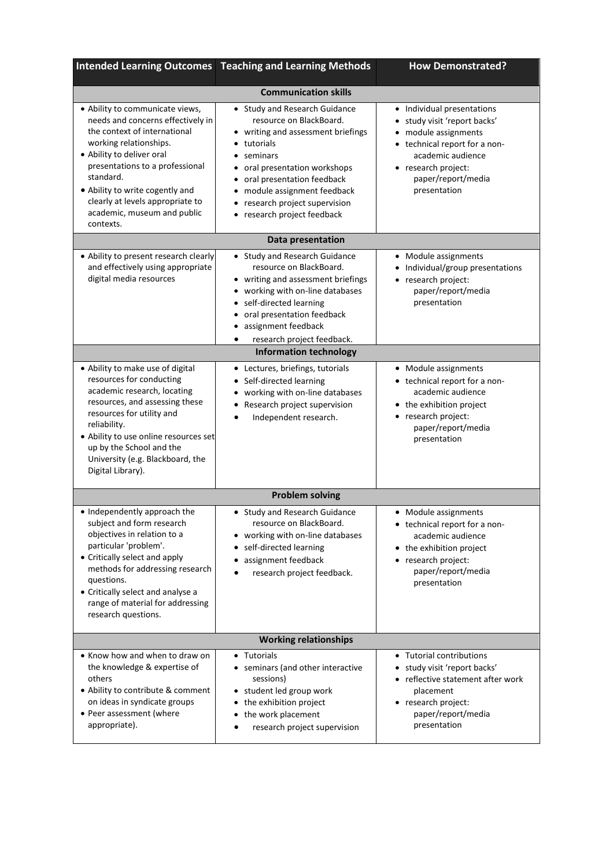|                                                                                                                                                                                                                                                                                                                                | <b>Intended Learning Outcomes Teaching and Learning Methods</b>                                                                                                                                                                                                                           | <b>How Demonstrated?</b>                                                                                                                                                                          |  |  |  |
|--------------------------------------------------------------------------------------------------------------------------------------------------------------------------------------------------------------------------------------------------------------------------------------------------------------------------------|-------------------------------------------------------------------------------------------------------------------------------------------------------------------------------------------------------------------------------------------------------------------------------------------|---------------------------------------------------------------------------------------------------------------------------------------------------------------------------------------------------|--|--|--|
| <b>Communication skills</b>                                                                                                                                                                                                                                                                                                    |                                                                                                                                                                                                                                                                                           |                                                                                                                                                                                                   |  |  |  |
| • Ability to communicate views,<br>needs and concerns effectively in<br>the context of international<br>working relationships.<br>• Ability to deliver oral<br>presentations to a professional<br>standard.<br>• Ability to write cogently and<br>clearly at levels appropriate to<br>academic, museum and public<br>contexts. | • Study and Research Guidance<br>resource on BlackBoard.<br>• writing and assessment briefings<br>tutorials<br>• seminars<br>• oral presentation workshops<br>oral presentation feedback<br>• module assignment feedback<br>• research project supervision<br>• research project feedback | • Individual presentations<br>study visit 'report backs'<br>module assignments<br>• technical report for a non-<br>academic audience<br>• research project:<br>paper/report/media<br>presentation |  |  |  |
|                                                                                                                                                                                                                                                                                                                                | Data presentation                                                                                                                                                                                                                                                                         |                                                                                                                                                                                                   |  |  |  |
| • Ability to present research clearly<br>and effectively using appropriate<br>digital media resources                                                                                                                                                                                                                          | • Study and Research Guidance<br>resource on BlackBoard.<br>• writing and assessment briefings<br>• working with on-line databases<br>• self-directed learning<br>oral presentation feedback<br>assignment feedback<br>research project feedback.<br>٠                                    | • Module assignments<br>Individual/group presentations<br>• research project:<br>paper/report/media<br>presentation                                                                               |  |  |  |
|                                                                                                                                                                                                                                                                                                                                | <b>Information technology</b>                                                                                                                                                                                                                                                             |                                                                                                                                                                                                   |  |  |  |
| • Ability to make use of digital<br>resources for conducting<br>academic research, locating<br>resources, and assessing these<br>resources for utility and<br>reliability.<br>• Ability to use online resources set<br>up by the School and the<br>University (e.g. Blackboard, the<br>Digital Library).                       | • Lectures, briefings, tutorials<br>• Self-directed learning<br>working with on-line databases<br>Research project supervision<br>Independent research.                                                                                                                                   | • Module assignments<br>• technical report for a non-<br>academic audience<br>• the exhibition project<br>• research project:<br>paper/report/media<br>presentation                               |  |  |  |
|                                                                                                                                                                                                                                                                                                                                | <b>Problem solving</b>                                                                                                                                                                                                                                                                    |                                                                                                                                                                                                   |  |  |  |
| • Independently approach the<br>subject and form research<br>objectives in relation to a<br>particular 'problem'.<br>• Critically select and apply<br>methods for addressing research<br>questions.<br>• Critically select and analyse a<br>range of material for addressing<br>research questions.                            | • Study and Research Guidance<br>resource on BlackBoard.<br>• working with on-line databases<br>self-directed learning<br>assignment feedback<br>research project feedback.                                                                                                               | • Module assignments<br>• technical report for a non-<br>academic audience<br>• the exhibition project<br>• research project:<br>paper/report/media<br>presentation                               |  |  |  |
| <b>Working relationships</b>                                                                                                                                                                                                                                                                                                   |                                                                                                                                                                                                                                                                                           |                                                                                                                                                                                                   |  |  |  |
| • Know how and when to draw on<br>the knowledge & expertise of<br>others<br>• Ability to contribute & comment<br>on ideas in syndicate groups<br>• Peer assessment (where<br>appropriate).                                                                                                                                     | • Tutorials<br>• seminars (and other interactive<br>sessions)<br>• student led group work<br>• the exhibition project<br>• the work placement<br>research project supervision                                                                                                             | • Tutorial contributions<br>study visit 'report backs'<br>• reflective statement after work<br>placement<br>• research project:<br>paper/report/media<br>presentation                             |  |  |  |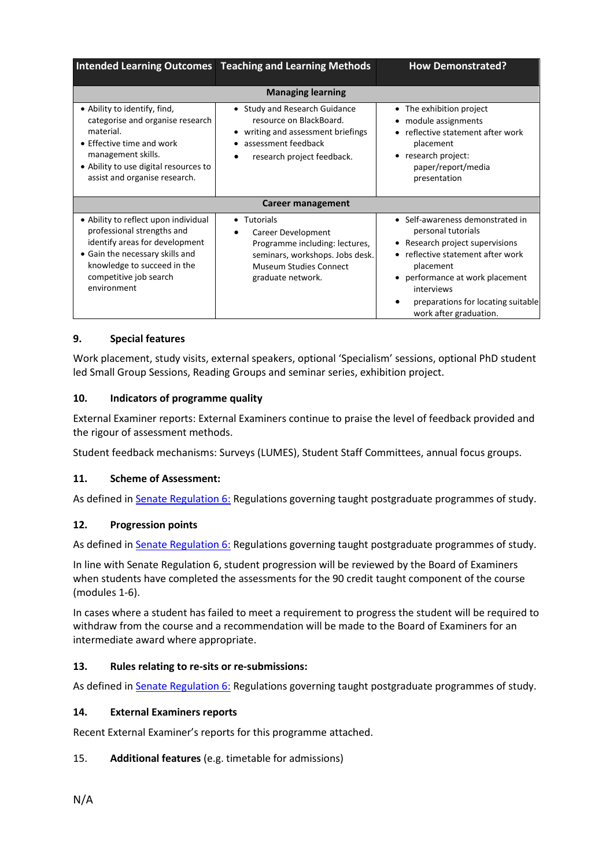|                                                                                                                                                                                                                 | Intended Learning Outcomes   Teaching and Learning Methods                                                                                                                    | <b>How Demonstrated?</b>                                                                                                                                                                                                                                        |  |
|-----------------------------------------------------------------------------------------------------------------------------------------------------------------------------------------------------------------|-------------------------------------------------------------------------------------------------------------------------------------------------------------------------------|-----------------------------------------------------------------------------------------------------------------------------------------------------------------------------------------------------------------------------------------------------------------|--|
| • Ability to identify, find,<br>categorise and organise research<br>material.<br>• Effective time and work<br>management skills.<br>• Ability to use digital resources to                                       | <b>Managing learning</b><br>• Study and Research Guidance<br>resource on BlackBoard.<br>writing and assessment briefings<br>assessment feedback<br>research project feedback. | • The exhibition project<br>module assignments<br>٠<br>• reflective statement after work<br>placement<br>• research project:<br>paper/report/media                                                                                                              |  |
| assist and organise research.                                                                                                                                                                                   | Career management                                                                                                                                                             | presentation                                                                                                                                                                                                                                                    |  |
| • Ability to reflect upon individual<br>professional strengths and<br>identify areas for development<br>• Gain the necessary skills and<br>knowledge to succeed in the<br>competitive job search<br>environment | • Tutorials<br>Career Development<br>Programme including: lectures,<br>seminars, workshops. Jobs desk.<br>Museum Studies Connect<br>graduate network.                         | • Self-awareness demonstrated in<br>personal tutorials<br>Research project supervisions<br>• reflective statement after work<br>placement<br>• performance at work placement<br>interviews<br>preparations for locating suitable<br>٠<br>work after graduation. |  |

# **9. Special features**

Work placement, study visits, external speakers, optional 'Specialism' sessions, optional PhD student led Small Group Sessions, Reading Groups and seminar series, exhibition project.

### **10. Indicators of programme quality**

External Examiner reports: External Examiners continue to praise the level of feedback provided and the rigour of assessment methods.

Student feedback mechanisms: Surveys (LUMES), Student Staff Committees, annual focus groups.

### **11. Scheme of Assessment:**

As defined in **Senate Regulation 6: Regulations governing taught postgraduate programmes of study.** 

### **12. Progression points**

As defined in **Senate Regulation 6:** Regulations governing taught postgraduate programmes of study.

In line with Senate Regulation 6, student progression will be reviewed by the Board of Examiners when students have completed the assessments for the 90 credit taught component of the course (modules 1-6).

In cases where a student has failed to meet a requirement to progress the student will be required to withdraw from the course and a recommendation will be made to the Board of Examiners for an intermediate award where appropriate.

### **13. Rules relating to re-sits or re-submissions:**

As defined i[n Senate Regulation 6:](http://www.le.ac.uk/senate-regulation6) Regulations governing taught postgraduate programmes of study.

### **14. External Examiners reports**

Recent External Examiner's reports for this programme attached.

### 15. **Additional features** (e.g. timetable for admissions)